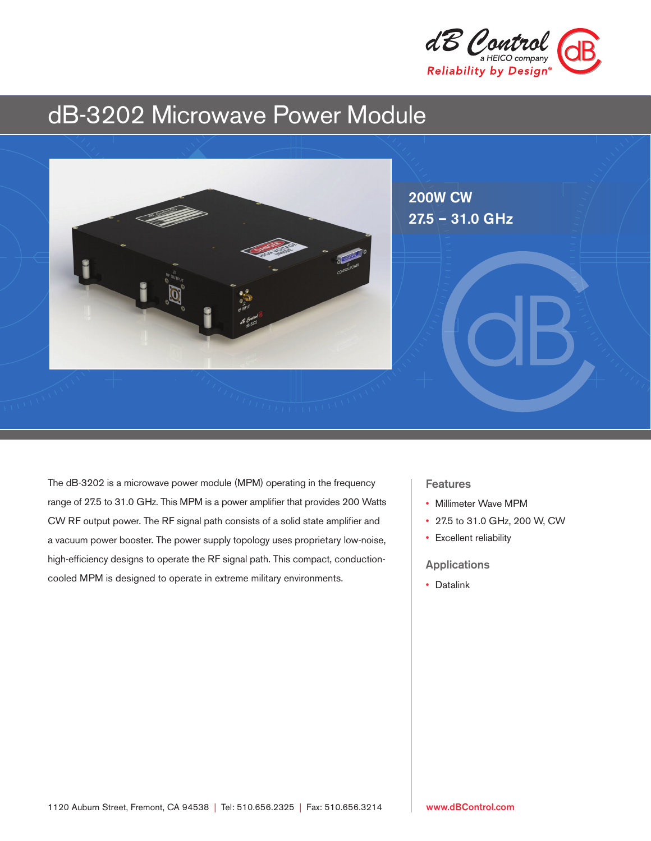

# dB-3202 Microwave Power Module



The dB-3202 is a microwave power module (MPM) operating in the frequency range of 27.5 to 31.0 GHz. This MPM is a power amplifier that provides 200 Watts CW RF output power. The RF signal path consists of a solid state amplifier and a vacuum power booster. The power supply topology uses proprietary low-noise, high-efficiency designs to operate the RF signal path. This compact, conductioncooled MPM is designed to operate in extreme military environments.

#### Features

- Millimeter Wave MPM
- 27.5 to 31.0 GHz, 200 W, CW
- Excellent reliability

Applications

• Datalink